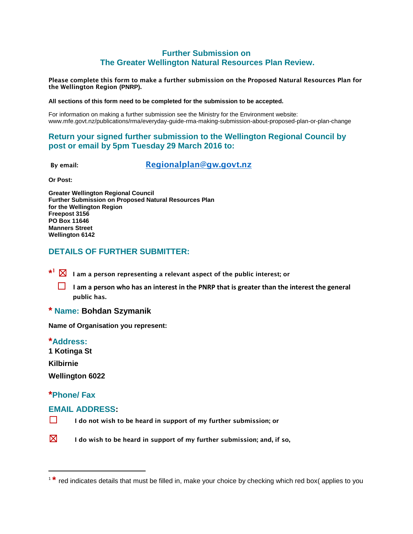### **Further Submission on The Greater Wellington Natural Resources Plan Review.**

**Please complete this form to make a further submission on the Proposed Natural Resources Plan for the Wellington Region (PNRP).**

#### **All sections of this form need to be completed for the submission to be accepted.**

For information on making a further submission see the Ministry for the Environment website: www.mfe.govt.nz/publications/rma/everyday-guide-rma-making-submission-about-proposed-plan-or-plan-change

## **Return your signed further submission to the Wellington Regional Council by post or email by 5pm Tuesday 29 March 2016 to:**

**By email: [Regionalplan@gw.govt.nz](mailto:Regionalplan@gw.govt.nz)**

**Or Post:**

**Greater Wellington Regional Council Further Submission on Proposed Natural Resources Plan for the Wellington Region Freepost 3156 PO Box 11646 Manners Street Wellington 6142**

# **DETAILS OF FURTHER SUBMITTER:**

**\* <sup>1</sup>** ☒ **I am a person representing a relevant aspect of the public interest; or**

**□** I am a person who has an interest in the PNRP that is greater than the interest the general **public has.** 

#### **\* Name: Bohdan Szymanik**

**Name of Organisation you represent:**

#### **\*Address:**

**1 Kotinga St**

**Kilbirnie**

 $\overline{\phantom{a}}$ 

**Wellington 6022**

### **\*Phone/ Fax**

#### **EMAIL ADDRESS:**

☐ **I do not wish to be heard in support of my further submission; or**



<sup>&</sup>lt;sup>1 \*</sup> red indicates details that must be filled in, make your choice by checking which red box( applies to you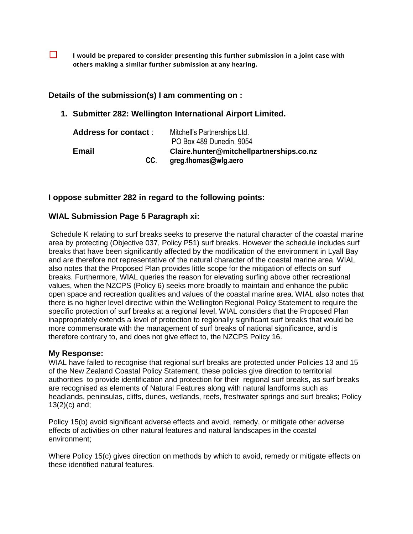☐ **I would be prepared to consider presenting this further submission in a joint case with others making a similar further submission at any hearing.**

### **Details of the submission(s) I am commenting on :**

### **1. Submitter 282: Wellington International Airport Limited.**

| <b>Address for contact:</b> | Mitchell's Partnerships Ltd.             |
|-----------------------------|------------------------------------------|
|                             | PO Box 489 Dunedin, 9054                 |
| <b>Email</b>                | Claire.hunter@mitchellpartnerships.co.nz |
| CC.                         | greg.thomas@wlg.aero                     |

### **I oppose submitter 282 in regard to the following points:**

### **WIAL Submission Page 5 Paragraph xi:**

Schedule K relating to surf breaks seeks to preserve the natural character of the coastal marine area by protecting (Objective 037, Policy P51) surf breaks. However the schedule includes surf breaks that have been significantly affected by the modification of the environment in Lyall Bay and are therefore not representative of the natural character of the coastal marine area. WIAL also notes that the Proposed Plan provides little scope for the mitigation of effects on surf breaks. Furthermore, WIAL queries the reason for elevating surfing above other recreational values, when the NZCPS (Policy 6) seeks more broadly to maintain and enhance the public open space and recreation qualities and values of the coastal marine area. WIAL also notes that there is no higher level directive within the Wellington Regional Policy Statement to require the specific protection of surf breaks at a regional level, WIAL considers that the Proposed Plan inappropriately extends a level of protection to regionally significant surf breaks that would be more commensurate with the management of surf breaks of national significance, and is therefore contrary to, and does not give effect to, the NZCPS Policy 16.

### **My Response:**

WIAL have failed to recognise that regional surf breaks are protected under Policies 13 and 15 of the New Zealand Coastal Policy Statement, these policies give direction to territorial authorities to provide identification and protection for their regional surf breaks, as surf breaks are recognised as elements of Natural Features along with natural landforms such as headlands, peninsulas, cliffs, dunes, wetlands, reefs, freshwater springs and surf breaks; Policy 13(2)(c) and;

Policy 15(b) avoid significant adverse effects and avoid, remedy, or mitigate other adverse effects of activities on other natural features and natural landscapes in the coastal environment;

Where Policy 15(c) gives direction on methods by which to avoid, remedy or mitigate effects on these identified natural features.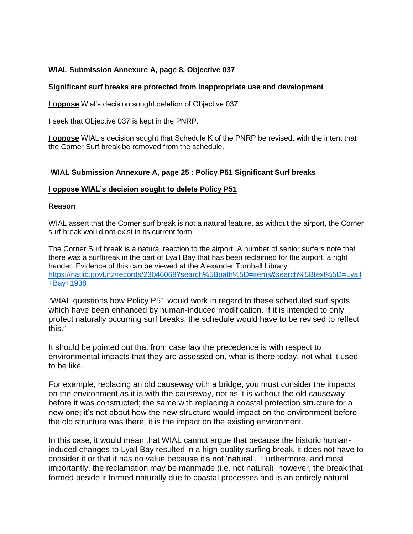### **WIAL Submission Annexure A, page 8, Objective 037**

#### **Significant surf breaks are protected from inappropriate use and development**

I **oppose** Wial's decision sought deletion of Objective 037

I seek that Objective 037 is kept in the PNRP.

**I oppose** WIAL's decision sought that Schedule K of the PNRP be revised, with the intent that the Corner Surf break be removed from the schedule.

### **WIAL Submission Annexure A, page 25 : Policy P51 Significant Surf breaks**

#### **I oppose WIAL's decision sought to delete Policy P51**

#### **Reason**

WIAL assert that the Corner surf break is not a natural feature, as without the airport, the Corner surf break would not exist in its current form.

The Corner Surf break is a natural reaction to the airport. A number of senior surfers note that there was a surfbreak in the part of Lyall Bay that has been reclaimed for the airport, a right hander. Evidence of this can be viewed at the Alexander Turnball Library: [https://natlib.govt.nz/records/23046068?search%5Bpath%5D=items&search%5Btext%5D=Lyall](https://natlib.govt.nz/records/23046068?search%5Bpath%5D=items&search%5Btext%5D=Lyall+Bay+1938) [+Bay+1938](https://natlib.govt.nz/records/23046068?search%5Bpath%5D=items&search%5Btext%5D=Lyall+Bay+1938)

"WIAL questions how Policy P51 would work in regard to these scheduled surf spots which have been enhanced by human-induced modification. If it is intended to only protect naturally occurring surf breaks, the schedule would have to be revised to reflect this."

It should be pointed out that from case law the precedence is with respect to environmental impacts that they are assessed on, what is there today, not what it used to be like.

For example, replacing an old causeway with a bridge, you must consider the impacts on the environment as it is with the causeway, not as it is without the old causeway before it was constructed; the same with replacing a coastal protection structure for a new one; it's not about how the new structure would impact on the environment before the old structure was there, it is the impact on the existing environment.

In this case, it would mean that WIAL cannot argue that because the historic humaninduced changes to Lyall Bay resulted in a high-quality surfing break, it does not have to consider it or that it has no value because it's not 'natural'. Furthermore, and most importantly, the reclamation may be manmade (i.e. not natural), however, the break that formed beside it formed naturally due to coastal processes and is an entirely natural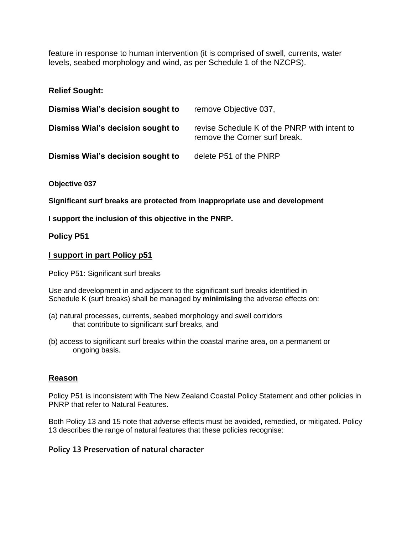feature in response to human intervention (it is comprised of swell, currents, water levels, seabed morphology and wind, as per Schedule 1 of the NZCPS).

## **Relief Sought:**

| Dismiss Wial's decision sought to | remove Objective 037,                                                         |
|-----------------------------------|-------------------------------------------------------------------------------|
| Dismiss Wial's decision sought to | revise Schedule K of the PNRP with intent to<br>remove the Corner surf break. |
| Dismiss Wial's decision sought to | delete P51 of the PNRP                                                        |

**Objective 037** 

**Significant surf breaks are protected from inappropriate use and development**

**I support the inclusion of this objective in the PNRP.**

**Policy P51**

# **I support in part Policy p51**

Policy P51: Significant surf breaks

Use and development in and adjacent to the significant surf breaks identified in Schedule K (surf breaks) shall be managed by **minimising** the adverse effects on:

- (a) natural processes, currents, seabed morphology and swell corridors that contribute to significant surf breaks, and
- (b) access to significant surf breaks within the coastal marine area, on a permanent or ongoing basis.

# **Reason**

Policy P51 is inconsistent with The New Zealand Coastal Policy Statement and other policies in PNRP that refer to Natural Features.

Both Policy 13 and 15 note that adverse effects must be avoided, remedied, or mitigated. Policy 13 describes the range of natural features that these policies recognise:

### **Policy 13 Preservation of natural character**